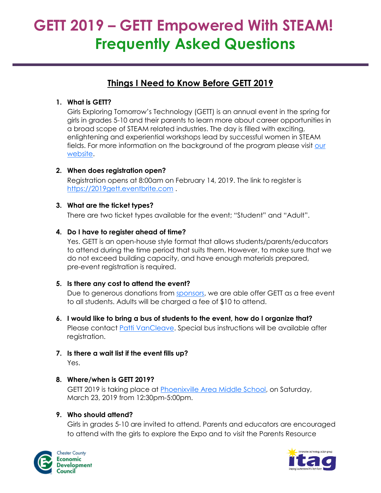# **GETT 2019 – GETT Empowered With STEAM! Frequently Asked Questions**

# **Things I Need to Know Before GETT 2019**

### **1. What is GETT?**

Girls Exploring Tomorrow's Technology (GETT) is an annual event in the spring for girls in grades 5-10 and their parents to learn more about career opportunities in a broad scope of STEAM related industries. The day is filled with exciting, enlightening and experiential workshops lead by successful women in STEAM fields. For more information on the background of the program please visit [our](http://gettpa.org/about/)  [website.](http://gettpa.org/about/)

#### **2. When does registration open?**

Registration opens at 8:00am on February 14, 2019. The link to register is [https://2019gett.eventbrite.com](https://2019gett.eventbrite.com/) .

#### **3. What are the ticket types?**

There are two ticket types available for the event; "Student" and "Adult".

#### **4. Do I have to register ahead of time?**

Yes. GETT is an open-house style format that allows students/parents/educators to attend during the time period that suits them. However, to make sure that we do not exceed building capacity, and have enough materials prepared, pre-event registration is required.

#### **5. Is there any cost to attend the event?**

Due to generous donations from [sponsors,](http://gettpa.org/sponsor/) we are able offer GETT as a free event to all students. Adults will be charged a fee of \$10 to attend.

**6. I would like to bring a bus of students to the event, how do I organize that?**

Please contact [Patti VanCleave.](mailto:pvancleave@ccedcpa.com) Special bus instructions will be available after registration.

**7. Is there a wait list if the event fills up?**

Yes.

## **8. Where/when is GETT 2019?**

GETT 2019 is taking place at [Phoenixville Area Middle School,](http://pams.pasd.com/) on Saturday, March 23, 2019 from 12:30pm-5:00pm.

## **9. Who should attend?**

Girls in grades 5-10 are invited to attend. Parents and educators are encouraged to attend with the girls to explore the Expo and to visit the Parents Resource



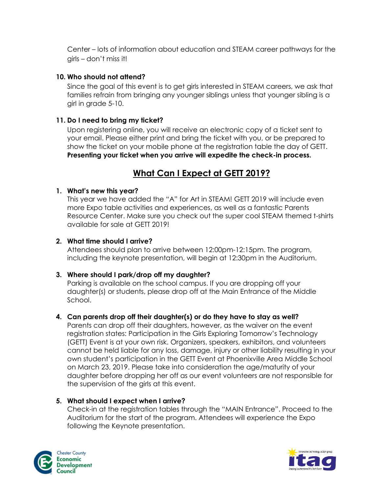Center – lots of information about education and STEAM career pathways for the girls – don't miss it!

#### **10. Who should not attend?**

Since the goal of this event is to get girls interested in STEAM careers, we ask that families refrain from bringing any younger siblings unless that younger sibling is a girl in grade 5-10.

#### **11. Do I need to bring my ticket?**

Upon registering online, you will receive an electronic copy of a ticket sent to your email. Please either print and bring the ticket with you, or be prepared to show the ticket on your mobile phone at the registration table the day of GETT. **Presenting your ticket when you arrive will expedite the check-in process.**

# **What Can I Expect at GETT 2019?**

#### **1. What's new this year?**

This year we have added the "A" for Art in STEAM! GETT 2019 will include even more Expo table activities and experiences, as well as a fantastic Parents Resource Center. Make sure you check out the super cool STEAM themed t-shirts available for sale at GETT 2019!

#### **2. What time should I arrive?**

Attendees should plan to arrive between 12:00pm-12:15pm. The program, including the keynote presentation, will begin at 12:30pm in the Auditorium.

#### **3. Where should I park/drop off my daughter?**

Parking is available on the school campus. If you are dropping off your daughter(s) or students, please drop off at the Main Entrance of the Middle School.

#### **4. Can parents drop off their daughter(s) or do they have to stay as well?**

Parents can drop off their daughters, however, as the waiver on the event registration states: Participation in the Girls Exploring Tomorrow's Technology (GETT) Event is at your own risk. Organizers, speakers, exhibitors, and volunteers cannot be held liable for any loss, damage, injury or other liability resulting in your own student's participation in the GETT Event at Phoenixville Area Middle School on March 23, 2019. Please take into consideration the age/maturity of your daughter before dropping her off as our event volunteers are not responsible for the supervision of the girls at this event.

#### **5. What should I expect when I arrive?**

Check-in at the registration tables through the "MAIN Entrance". Proceed to the Auditorium for the start of the program. Attendees will experience the Expo following the Keynote presentation.